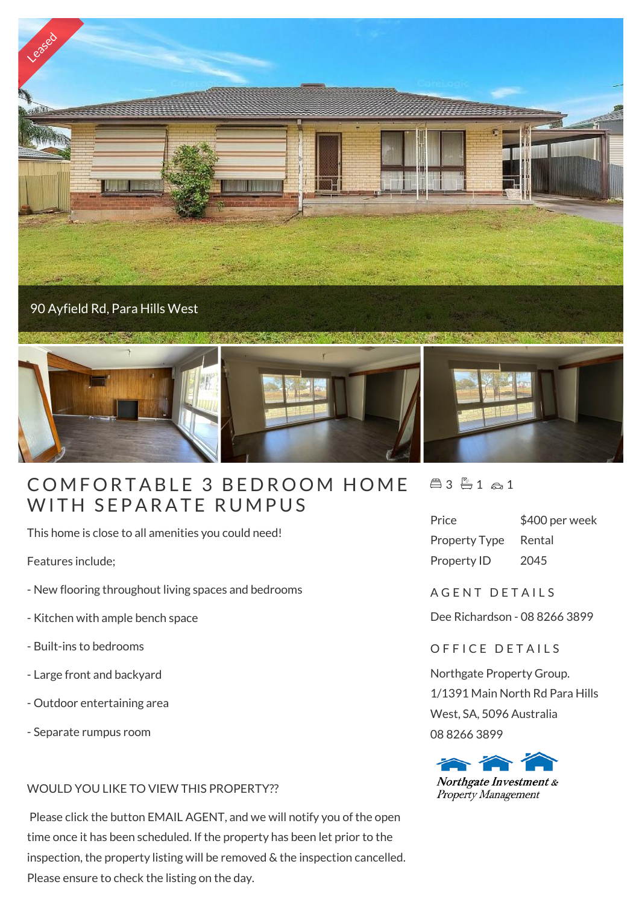

## COMFORTABLE 3 BEDROOM<br>WITH SEPARATE RUMPUS

This home is close to all amenities you could need!

Features include;

- New flooring throughout living spaces and bedrooms
- Kitchen with ample bench space
- Built-ins to bedrooms
- Large front and backyard
- Outdoor entertaining area
- Separate rumpus room

## WOULD YOU LIKE TO VIEW THIS PROPERTY??

 Please click the button EMAIL AGENT, and we will notify you of the open time once it has been scheduled. If the property has been let prior to the inspection, the property listing will be removed & the inspection cancelled. Please ensure to check the listing on the day.

 $43 - 1 - 1$ 

| Price                | \$400 per week |
|----------------------|----------------|
| <b>Property Type</b> | Rental         |
| Property ID          | 2045           |

A G F N T D F T A I L S

Dee Richardson - 08 8266 3899

## OFFICE DETAILS

Northgate Property Group. 1/1391 Main North Rd Para Hills West, SA, 5096 Australia 08 8266 3899